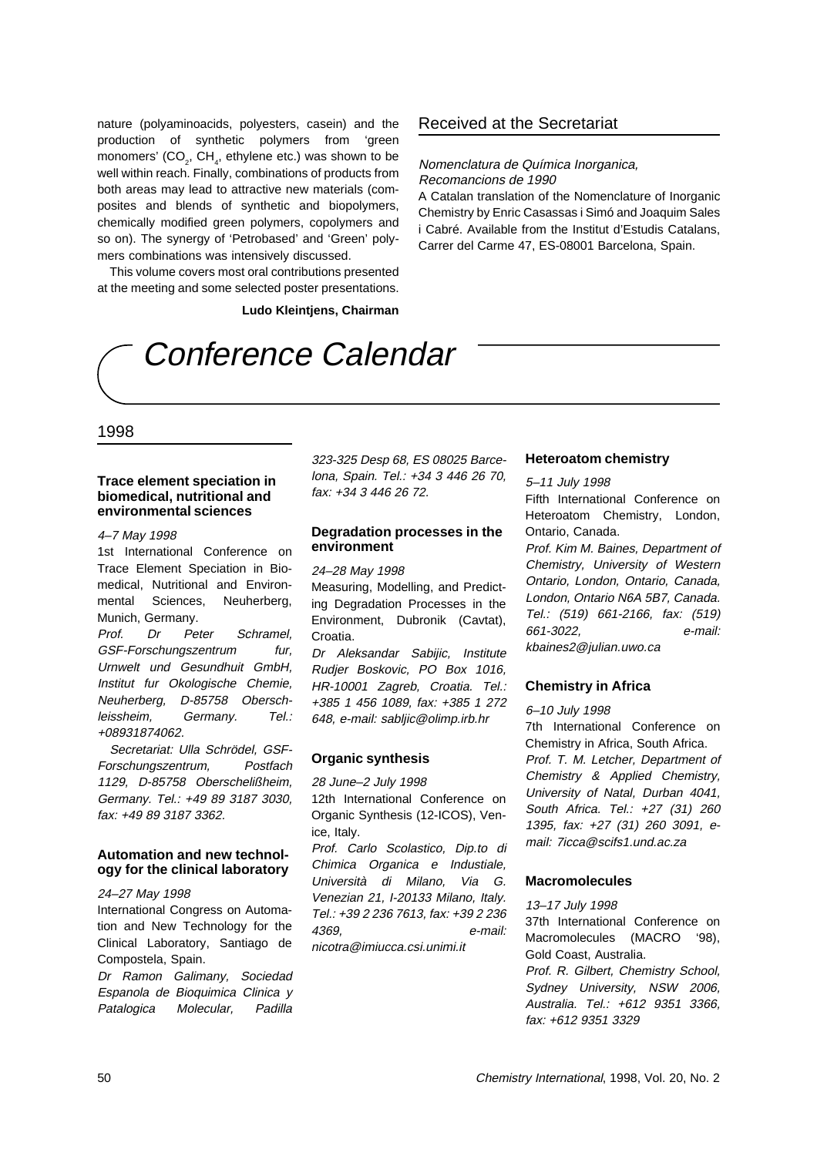# Conference Calendar

# 1998

#### **Trace element speciation in biomedical, nutritional and environmental sciences**

#### 4–7 May 1998

1st International Conference on Trace Element Speciation in Biomedical, Nutritional and Environmental Sciences, Neuherberg, Munich, Germany.

Prof. Dr Peter Schramel, GSF-Forschungszentrum fur, Urnwelt und Gesundhuit GmbH, Institut fur Okologische Chemie, Neuherberg, D-85758 Oberschleissheim, Germany. Tel.: +08931874062.

Secretariat: Ulla Schrödel, GSF-Forschungszentrum, Postfach 1129, D-85758 Oberschelißheim, Germany. Tel.: +49 89 3187 3030, fax: +49 89 3187 3362.

### **Automation and new technology for the clinical laboratory**

#### 24–27 May 1998

International Congress on Automation and New Technology for the Clinical Laboratory, Santiago de Compostela, Spain.

Dr Ramon Galimany, Sociedad Espanola de Bioquimica Clinica y Patalogica Molecular, Padilla

323-325 Desp 68, ES 08025 Barcelona, Spain. Tel.: +34 3 446 26 70, fax: +34 3 446 26 72.

## **Degradation processes in the environment**

#### 24–28 May 1998

Measuring, Modelling, and Predicting Degradation Processes in the Environment, Dubronik (Cavtat), Croatia.

Dr Aleksandar Sabijic, Institute Rudjer Boskovic, PO Box 1016, HR-10001 Zagreb, Croatia. Tel.: +385 1 456 1089, fax: +385 1 272 648, e-mail: sabljic@olimp.irb.hr

# **Organic synthesis**

#### 28 June–2 July 1998

12th International Conference on Organic Synthesis (12-ICOS), Venice, Italy.

Prof. Carlo Scolastico, Dip.to di Chimica Organica e Industiale, Università di Milano, Via G. Venezian 21, I-20133 Milano, Italy. Tel.: +39 2 236 7613, fax: +39 2 236 4369, e-mail: nicotra@imiucca.csi.unimi.it

#### **Heteroatom chemistry**

#### 5–11 July 1998

Fifth International Conference on Heteroatom Chemistry, London, Ontario, Canada.

Prof. Kim M. Baines, Department of Chemistry, University of Western Ontario, London, Ontario, Canada, London, Ontario N6A 5B7, Canada. Tel.: (519) 661-2166, fax: (519) 661-3022, e-mail: kbaines2@julian.uwo.ca

## **Chemistry in Africa**

#### 6–10 July 1998

7th International Conference on Chemistry in Africa, South Africa. Prof. T. M. Letcher, Department of Chemistry & Applied Chemistry, University of Natal, Durban 4041, South Africa. Tel.: +27 (31) 260 1395, fax: +27 (31) 260 3091, email: 7icca@scifs1.und.ac.za

# **Macromolecules**

13–17 July 1998 37th International Conference on Macromolecules (MACRO '98), Gold Coast, Australia. Prof. R. Gilbert, Chemistry School, Sydney University, NSW 2006, Australia. Tel.: +612 9351 3366, fax: +612 9351 3329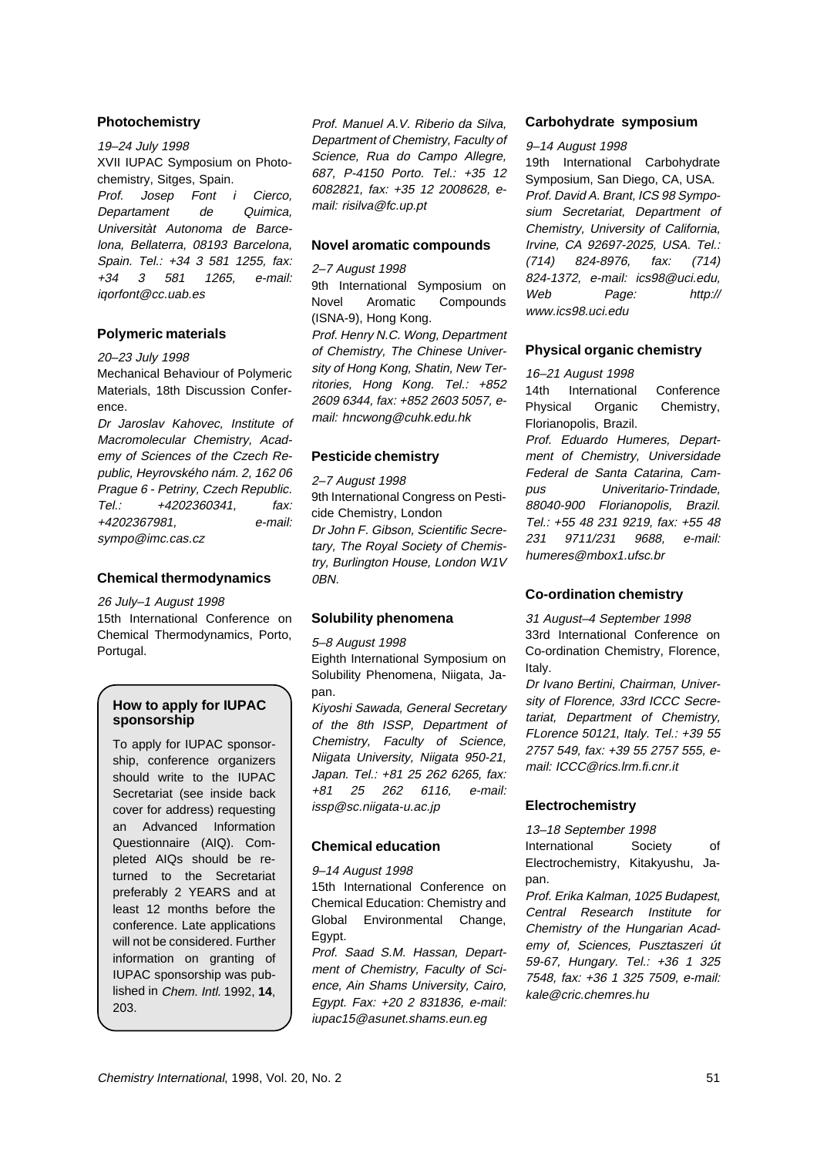## **Photochemistry**

#### 19–24 July 1998

XVII IUPAC Symposium on Photochemistry, Sitges, Spain.

Prof. Josep Font i Cierco, Departament de Quimica, Universitàt Autonoma de Barcelona, Bellaterra, 08193 Barcelona, Spain. Tel.: +34 3 581 1255, fax: +34 3 581 1265, e-mail: iqorfont@cc.uab.es

## **Polymeric materials**

20–23 July 1998

Mechanical Behaviour of Polymeric Materials, 18th Discussion Conference.

Dr Jaroslav Kahovec, Institute of Macromolecular Chemistry, Academy of Sciences of the Czech Republic, Heyrovského nám. 2, 162 06 Prague 6 - Petriny, Czech Republic. Tel.: +4202360341, fax: +4202367981, e-mail: sympo@imc.cas.cz

**Chemical thermodynamics**

26 July–1 August 1998 15th International Conference on Chemical Thermodynamics, Porto, Portugal.

# **How to apply for IUPAC sponsorship**

To apply for IUPAC sponsorship, conference organizers should write to the IUPAC Secretariat (see inside back cover for address) requesting an Advanced Information Questionnaire (AIQ). Completed AIQs should be returned to the Secretariat preferably 2 YEARS and at least 12 months before the conference. Late applications will not be considered. Further information on granting of IUPAC sponsorship was published in Chem. Intl. 1992, **14**, 203.

Prof. Manuel A.V. Riberio da Silva, Department of Chemistry, Faculty of Science, Rua do Campo Allegre, 687, P-4150 Porto. Tel.: +35 12 6082821, fax: +35 12 2008628, email: risilva@fc.up.pt

#### **Novel aromatic compounds**

2–7 August 1998

9th International Symposium on Novel Aromatic Compounds (ISNA-9), Hong Kong. Prof. Henry N.C. Wong, Department of Chemistry, The Chinese University of Hong Kong, Shatin, New Territories, Hong Kong. Tel.: +852 2609 6344, fax: +852 2603 5057, email: hncwong@cuhk.edu.hk

# **Pesticide chemistry**

2–7 August 1998

9th International Congress on Pesticide Chemistry, London Dr John F. Gibson, Scientific Secretary, The Royal Society of Chemistry, Burlington House, London W1V 0BN.

# **Solubility phenomena**

5–8 August 1998

Eighth International Symposium on Solubility Phenomena, Niigata, Japan.

Kiyoshi Sawada, General Secretary of the 8th ISSP, Department of Chemistry, Faculty of Science, Niigata University, Niigata 950-21, Japan. Tel.: +81 25 262 6265, fax: +81 25 262 6116, e-mail: issp@sc.niigata-u.ac.jp

# **Chemical education**

9–14 August 1998

15th International Conference on Chemical Education: Chemistry and Global Environmental Change, Egypt.

Prof. Saad S.M. Hassan, Department of Chemistry, Faculty of Science, Ain Shams University, Cairo, Egypt. Fax: +20 2 831836, e-mail: iupac15@asunet.shams.eun.eg

#### **Carbohydrate symposium**

#### 9–14 August 1998

19th International Carbohydrate Symposium, San Diego, CA, USA. Prof. David A. Brant, ICS 98 Symposium Secretariat, Department of Chemistry, University of California, Irvine, CA 92697-2025, USA. Tel.: (714) 824-8976, fax: (714) 824-1372, e-mail: ics98@uci.edu, Web Page: http:// www.ics98.uci.edu

# **Physical organic chemistry**

16–21 August 1998 14th International Conference Physical Organic Chemistry, Florianopolis, Brazil. Prof. Eduardo Humeres, Department of Chemistry, Universidade Federal de Santa Catarina, Campus Univeritario-Trindade, 88040-900 Florianopolis, Brazil.

Tel.: +55 48 231 9219, fax: +55 48 231 9711/231 9688, e-mail: humeres@mbox1.ufsc.br

# **Co-ordination chemistry**

31 August–4 September 1998 33rd International Conference on Co-ordination Chemistry, Florence, Italy.

Dr Ivano Bertini, Chairman, University of Florence, 33rd ICCC Secretariat, Department of Chemistry, FLorence 50121, Italy. Tel.: +39 55 2757 549, fax: +39 55 2757 555, email: ICCC@rics.lrm.fi.cnr.it

# **Electrochemistry**

13–18 September 1998

International Society of Electrochemistry, Kitakyushu, Japan.

Prof. Erika Kalman, 1025 Budapest, Central Research Institute for Chemistry of the Hungarian Academy of, Sciences, Pusztaszeri út 59-67, Hungary. Tel.: +36 1 325 7548, fax: +36 1 325 7509, e-mail: kale@cric.chemres.hu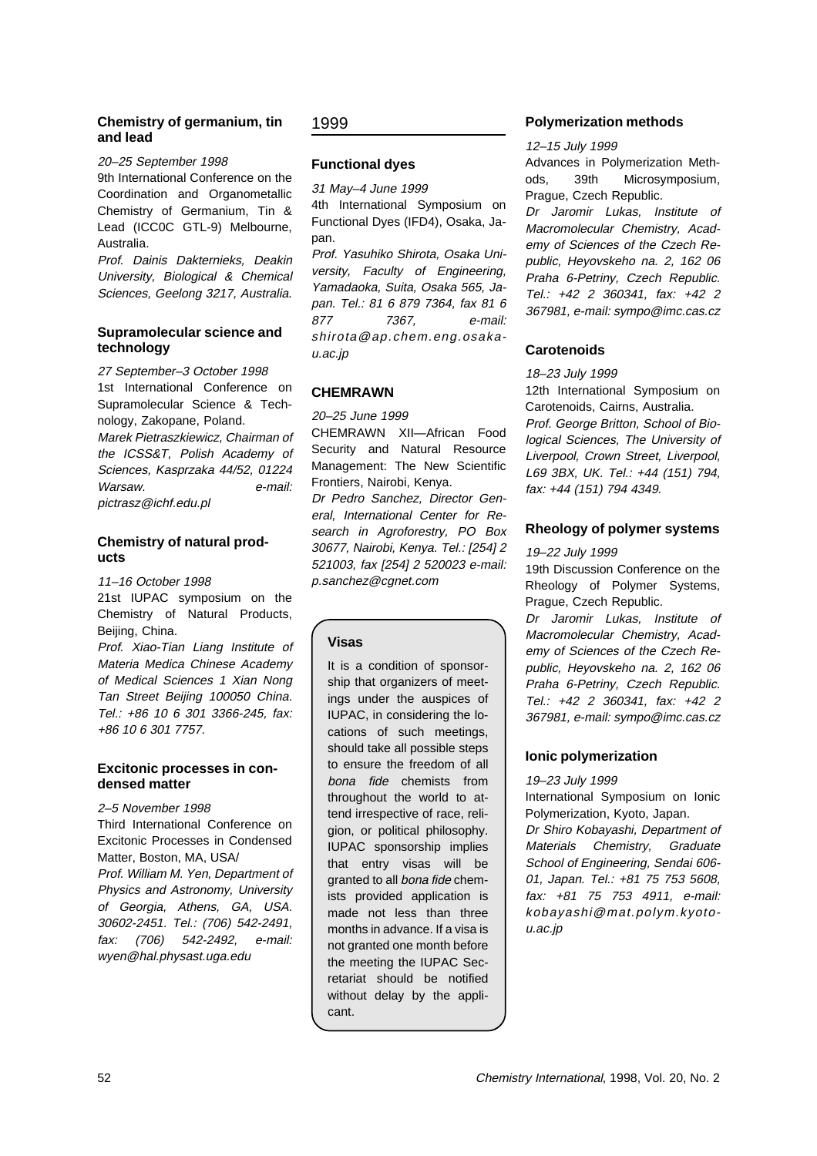# **Chemistry of germanium, tin and lead**

#### 20–25 September 1998

9th International Conference on the Coordination and Organometallic Chemistry of Germanium, Tin & Lead (ICC0C GTL-9) Melbourne, Australia.

Prof. Dainis Dakternieks, Deakin University, Biological & Chemical Sciences, Geelong 3217, Australia.

# **Supramolecular science and technology**

27 September–3 October 1998 1st International Conference on Supramolecular Science & Technology, Zakopane, Poland.

Marek Pietraszkiewicz, Chairman of the ICSS&T, Polish Academy of Sciences, Kasprzaka 44/52, 01224 Warsaw. e-mail: pictrasz@ichf.edu.pl

# **Chemistry of natural products**

11–16 October 1998

21st IUPAC symposium on the Chemistry of Natural Products, Beijing, China.

Prof. Xiao-Tian Liang Institute of Materia Medica Chinese Academy of Medical Sciences 1 Xian Nong Tan Street Beijing 100050 China. Tel.: +86 10 6 301 3366-245, fax: +86 10 6 301 7757.

# **Excitonic processes in condensed matter**

2–5 November 1998

Third International Conference on Excitonic Processes in Condensed Matter, Boston, MA, USA/ Prof. William M. Yen, Department of Physics and Astronomy, University of Georgia, Athens, GA, USA. 30602-2451. Tel.: (706) 542-2491, fax: (706) 542-2492, e-mail: wyen@hal.physast.uga.edu

# 1999

# **Functional dyes**

31 May–4 June 1999 4th International Symposium on Functional Dyes (IFD4), Osaka, Japan.

Prof. Yasuhiko Shirota, Osaka University, Faculty of Engineering, Yamadaoka, Suita, Osaka 565, Japan. Tel.: 81 6 879 7364, fax 81 6 877 7367, e-mail: shirota@ap.chem.eng.osakau.ac.jp

# **CHEMRAWN**

20–25 June 1999

CHEMRAWN XII—African Food Security and Natural Resource Management: The New Scientific Frontiers, Nairobi, Kenya. Dr Pedro Sanchez, Director General, International Center for Research in Agroforestry, PO Box 30677, Nairobi, Kenya. Tel.: [254] 2 521003, fax [254] 2 520023 e-mail: p.sanchez@cgnet.com

# **Visas**

It is a condition of sponsorship that organizers of meetings under the auspices of IUPAC, in considering the locations of such meetings, should take all possible steps to ensure the freedom of all bona fide chemists from throughout the world to attend irrespective of race, religion, or political philosophy. IUPAC sponsorship implies that entry visas will be granted to all bona fide chemists provided application is made not less than three months in advance. If a visa is not granted one month before the meeting the IUPAC Secretariat should be notified without delay by the applicant.

# **Polymerization methods**

# 12–15 July 1999

Advances in Polymerization Methods, 39th Microsymposium, Prague, Czech Republic.

Dr Jaromir Lukas, Institute of Macromolecular Chemistry, Academy of Sciences of the Czech Republic, Heyovskeho na. 2, 162 06 Praha 6-Petriny, Czech Republic. Tel.: +42 2 360341, fax: +42 2 367981, e-mail: sympo@imc.cas.cz

# **Carotenoids**

18–23 July 1999

12th International Symposium on Carotenoids, Cairns, Australia. Prof. George Britton, School of Biological Sciences, The University of Liverpool, Crown Street, Liverpool, L69 3BX, UK. Tel.: +44 (151) 794, fax: +44 (151) 794 4349.

# **Rheology of polymer systems**

19–22 July 1999

19th Discussion Conference on the Rheology of Polymer Systems, Prague, Czech Republic.

Dr Jaromir Lukas, Institute of Macromolecular Chemistry, Academy of Sciences of the Czech Republic, Heyovskeho na. 2, 162 06 Praha 6-Petriny, Czech Republic. Tel.: +42 2 360341, fax: +42 2 367981, e-mail: sympo@imc.cas.cz

# **Ionic polymerization**

19–23 July 1999

International Symposium on Ionic Polymerization, Kyoto, Japan.

Dr Shiro Kobayashi, Department of Materials Chemistry, Graduate School of Engineering, Sendai 606- 01, Japan. Tel.: +81 75 753 5608, fax: +81 75 753 4911, e-mail: kobayashi@mat.polym.kyotou.ac.jp